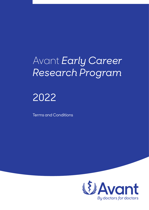# Avant *Early Career Research Program*

# 2022

Terms and Conditions

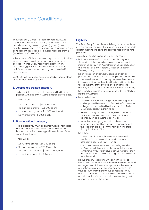### Terms and Conditions

The Avant Early Career Research Program 2022, is a program run by Avant offering 29 research based awards, including research grants ("grants"), research coaching (as part of the microgrant) and access to skills development courses ("skills development program") (together, the "awards").

If there are insufficient numbers or quality of applications for a particular award, grant category, grant type or research area, Avant reserves the right to vary the number, grant type and research area of grant recipients, and/or the number of grants awarded in each category.

In 2022, the structure for grants is based on career stage and includes two categories:

#### **1. Accredited trainee category**

To be eligible you must hold an accredited training position with one of the Australian specialty colleges.

There will be:

- **•** 2 x full time grants \$50,000 each;
- **•** 4 x part time grants \$25,000 each;
- **•** 2 x short term grants \$12,500 each; and
- **•** 5 x microgrants \$5,000 each.

#### **2. Pre-vocational category**

To be eligible you must be an intern, resident medical officer or early career researcher who does not hold an accredited training position with one of the specialty colleges.

There will be:

- **•** 1 x full time grants– \$50,000 each;
- **•** 3 x part time grants– \$25,000 each;
- **•** 2 x short term grants \$12,500 each; and
- **•** 10 x microgrants \$5,000 each.

#### **Eligibility**

The Avant Early Career Research Program is available to interns, resident medical officers and doctors in training, to assist in meeting the costs of approved research training programs.

To apply for and be awarded a grant you must:

- **•** hold (at the time of application and throughout the period of the award) a professional indemnity insurance policy with Avant Insurance Limited under the Intern, Resident Medical Officer or Doctor in Training category of practice;
- **•** be an Australian citizen, New Zealand citizen or permanent resident of Australia (applicants do not have to be based in Australia to apply, however, if successful, it is expected that applicants will be based in Australia for the majority of the award period and that the majority of the research will be conducted in Australia);
- **•** be a medical practitioner registered with the Medical Board of Australia;
- **•** be enrolled in a:
	- **ˈ** specialist research training program recognised and approved by a relevant Australian/Australasian college and accredited by the Australian Medical Council (specialist in training); or
	- **ˈ** research program with a recognised academic institution working towards a post-graduate degree such as a masters or PhD; or
	- **ˈ** formal research program with at least one appropriately qualified research supervisor, with the research project commencing on or before Friday 31 March 2023;
- **•** be either:
	- **ˈ** pre-fellowship, that is, have not yet received a college fellowship and remain in a general category according to AHPRA; or
	- **ˈ** a fellow of an overseas medical college and on an Australian fellowship pathway, with the period remaining in your fellowship pathway greater than the length of the scholarship or grant period (i.e. 12 months); and
- **•** be the primary researcher, meaning the project leader with responsibility for the design, execution and management of the research project. If the research project involves co-authors you must confirm with your co-authors that they have consented to you being the primary researcher. Grants are awarded on an individual basis and co-authors are not eligible to receive any part of the grant.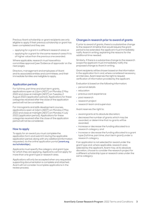Previous Avant scholarship or grant recipients are only eligible to apply if their previous scholarship or grant has been completed and they are:

- **•** applying for a grant in a different research area; or
- **•** applying for a grant for the same research area if it is of higher value than the previous one awarded.

Where applicable, research must have ethics committee approval (see 'Evidence of approvals' on the next page).

Directors, management and employees of Avant and its associated entities and committees, and their immediate families are ineligible to apply.

#### **Application periods**

For full time, part time and short term grants, applications open at 12pm (AEST) on Monday 2 May 2022 and close at midnight (AEST) on Tuesday 2 August 2022 (application period). Applications for these categories received after the close of the application period will not be considered.

For microgrants and skills development courses, applications open at 12pm (AEDT) on Monday 2 May 2022 and close at midnight (AEST) on Monday 4 July 2022 (application period). Applications for these categories received after the close of the application period will not be considered.

#### **How to apply**

To apply for an award you must complete the application form and submit it during the applicable application period, along with any additional information requested, via the online application portal (**[avant.org.](http://avant.org.au/scholarships) [au/scholarships](http://avant.org.au/scholarships)**).

Applicants must specify the category and grant type for which they are applying. Applicants cannot apply for more than one grant type or research area.

Applications will only be accepted when any requested supporting documentation is complete and attached. Avant will not consider incomplete applications in the review process.

#### **Changes in research prior to award of grants**

If, prior to award of grants, there is a substantive change to the research timeline that would require the grant period to be extended, the applicant must immediately notify Avant in writing, explaining the reasons for the additional time needed.

Similarly, if there is a substantive change to the research scope the applicant must immediately notify the proposed change to Avant in writing.

Grant recipients will be chosen based on the information in the application form and, where considered necessary, an interview. Avant reserves the right to request verification of information provided by the applicant.

Evaluation is based on the following information:

- **•** personal details
- **•** education
- **•** previous work experience
- **•** past research
- **•** research project
- **•** research team and supervisor.

Avant reserves the right to:

- **•** award grants at its absolute discretion;
- **•** decrease the number of grants which may be awarded, or determine that no grants will be awarded;
- **•** increase or decrease the funding allocated to a research category; and
- **•** increase or decrease the funding allocated to a grant type (full time, part time, short term grant) under a research category.

If an application is not selected for award under the grant type and, where applicable, research area selected by the applicant, Avant may, at its absolute discretion, choose to consider the research project for a different scholarship type or research area under the same category.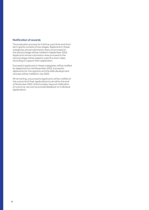#### **Notification of awards**

The evaluation process for full time, part time and short term grants consists of two stages. Applicants in these categories whose submission does not proceed to the second stage will be notified in September 2022. Applicants whose submission does proceed to the second stage will be asked to submit a short video recording to support their application.

Successful applicants in these categories will be notified by telephone by mid November 2022. Successful applicants for microgrants and the skills development courses will be notified in July 2022.

All remaining, unsuccessful applicants will be notified of the outcome of their applications by email by the end of November 2022. Unfortunately, beyond notification of outcome, we cannot provide feedback on individual applications.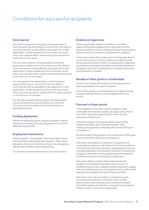### Conditions for successful recipients

#### **Grant period**

For full time and part time grants, the expectation is that the grant period will be 12 months from the date of commencement as specified by the applicant in their application. Under exceptional circumstances, Avant may, at its sole discretion, extend the grant period to a maximum of two years.

For short term grants, the expectation is that the grant period will be one to 12 months from the date of commencement as specified by the applicant in their application. Under exceptional circumstances, Avant may, at its sole discretion, extend the scholarship period to a maximum of two years.

For microgrants, the expectation is that the grant period will be one to six months from the date of commencement as specified by the applicant in their application. Under exceptional circumstances, Avant may, at its sole discretion, extend the microgrant period to a maximum of one year.

For the skills development program the expectation is that the enrollment period will be no more than 12 months from the date of commencement as specified by Avant.

#### **Funding Agreement**

Before receiving the grant, all grant recipients will be required to execute a Funding Agreement, in a form determined by Avant.

#### **Employment restrictions**

Full time grants – the recipient will not be able to work full time while undertaking their research. They will be allowed to do locum clinical work (such as emergency department shifts) or tutoring/teaching.

For all other awards there are no work restrictions.

#### **Evidence of approvals**

Where applicable, evidence of ethics committee approval must be supplied. Ethics approval must be secured within six months of award of grant and the grant period cannot commence until approval is supplied.

In the case where ethics approval is not required, Avant must receive documentary evidence confirming that the proposed research does not require ethics approval as outlined in the National Health and Medical Research Guidelines, Ethical Considerations in Quality Assurance and Evaluation Activities.

#### **Receipt of other grants or scholarships**

Avant must receive information on existing research grants awarded to the grant recipient.

If any other grants or scholarships are received during the grant period, Avant must be notified within one month.

#### **Payment of Avant grants**

To be eligible for payment, grant recipients must undertake the research project as approved by Avant, and within the period approved by Avant, for the purposes of the award.

Full time and part time grants will be paid in three instalments (50% upon commencement, 25% midway through the scholarship period and 25% upon completion).

All other grants will be paid in two instalments (50% upon commencement, 50% upon completion).

Payments are subject to satisfactory progress and continued compliance with these terms and conditions, including the reporting milestone requirements that are mutually agreed by the recipient and Avant. Satisfactory progress is defined as having adhered to the research timeline provided in the recipient's application.

Payments will be made by direct deposit into the recipient's nominated Australian bank account. To facilitate this payment, recipients will be required to supply their nominated bank account details and to confirm their research start date by the end of February 2023.

Payments can only be made to a third party such as a research institute or university when written authorisation is provided by the successful recipient. Should the research institute or university invoice Avant there is no GST component applicable.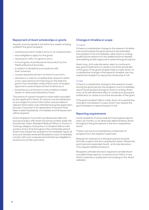#### **Repayment of Avant scholarships or grants**

Awards must be repaid in full within four weeks of being notified if the grant recipient:

- **•** receives payment made in error or an overpayment;
- **•** was ineligible to apply for the grant;
- **•** received an offer of a grant in error;
- **•** is found guilty of professional misconduct by the Medical Board of Australia;
- **•** is subject to disciplinary procedures with their university;
- **•** causes reputational harm to Avant in any form;
- **•** abandons or fails to complete their research within a two-year period commencing on the date the grant is first awarded, unless there is pre-arranged approval to extend beyond that timeframe; or
- **•** breaches any of the terms and conditions stated herein or otherwise advised by Avant.

The award of a grant is based on information provided by the applicant to Avant. An award may be withdrawn at any stage if incorrect information was provided or relevant information was withheld during the application process. If any part of an application is found to have been made fraudulently, immediate and full repayment will be required.

Grant recipients must hold a professional indemnity insurance policy with Avant Insurance Limited under the Practitioner, Intern, Resident Medical Officer or Doctor in Training category of practice. If a recipient fails to hold a policy at any time throughout the scholarship period, Avant may require the recipient to immediately repay all amounts already received. Recipients must immediately comply with such a request and will also be ineligible to receive any further payments.

#### **Changes in timeline or scope**

#### **Timeline**

If there is a substantive change to the research timeline that would require the grant period to be extended, the recipient must immediately notify Avant in writing, qualifying the reasons for the additional time needed and seeking written approval to extend the grant period.

Avant may, at its sole discretion, elect to continue to pay grant instalments or cease to fund the remainder of the grant. If the grant recipient fails to notify Avant of a substantive change in the research timeline, we may require the recipient to repay the scholarship in full.

#### Scope

If there is a substantive change to the research scope during the grant period, the recipient must immediately report the proposed change to Avant in writing. Avant may, at its sole discretion elect to continue to pay grant instalments or cease to fund the remainder of the grant.

If the grant recipient fails to notify Avant of a substantive change in the research scope, Avant may require the grant recipient to repay the grant in full.

#### **Reporting requirements**

Grant recipients must provide formal progress reports every six months, or as otherwise determined by Avant throughout the grant period, in the form required by Avant.

These must be accompanied by a statement of progress from the research supervisor.

Request for extensions to the grant period must be formally made in the form required by Avant. Where the grant period is extended, Avant, at its sole discretion, may request additional reports.

Recipients will take all action required to enable Avant to publish these reports, or extracts from them, in any Avant materials or publications (including on the Avant website).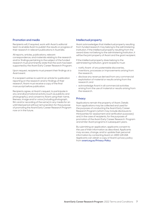#### **Promotion and media**

Recipients will, if required, work with Avant's editorial team to enable Avant to publish the results or progress of their research in relevant publications in Australia.

All reports, articles, publications, relevant correspondence, and materials relating to the research and/or findings pertaining to the subject of the funded research must prominently state that the work has been supported by the Avant Early Career Research Program.

Upon request, recipients must present their findings at a Avant event.

If a recipient wishes to submit an article for publication reporting on the research and/or findings of their research, Avant must receive a copy of the final manuscript before publication.

Recipients agree, at Avant's request, to participate in any and all promotional activity (such as publicity and photography), and consent to Avant using their name, likeness, image and/or voice (including photograph, film and/or recording of the same) in any media for an unlimited period without remuneration for the purpose of promoting the Avant Early Career Research Program now or in the future.

#### **Intellectual property**

Avant acknowledges that intellectual property resulting from funded research may belong to the administering institution. If the intellectual property resulting from the award does not belong to the administering institution, it will be the joint property of Avant and the grant recipient.

If the intellectual property does belong to the administering institution, grant recipients must:

- **•** notify Avant of any patentable discoveries, inventions, processes or improvements arising from the research;
- **•** disclose any revenue derived from any commercial exploitation of material or results arising from the research; and
- **•** acknowledge Avant in all commercial activities arising from the use of material or results arising from the research.

#### **Privacy**

Applications remain the property of Avant. Details from applications may be collected and used for the purposes of conducting the Avant Early Career Research Program (which may include disclosure to third parties for assessment and verification purposes) and, in the case of recipients, for the purposes of promotion of the Avant Early Career Research Program and similar Avant programs in subsequent years.

By submitting an application, applicants consent to the use of their information as described. Applicants may access, change, and/or update their personal information by contacting Avant on 1800 128 268. Applicants can obtain a copy of Avant's privacy policy from **[avant.org.au/Privacy-Policy](http://avant.org.au/Privacy-Policy)**